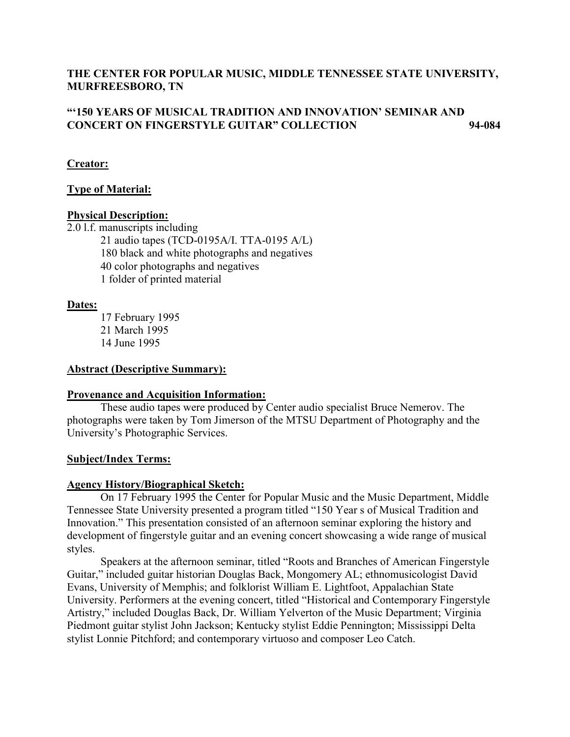# **THE CENTER FOR POPULAR MUSIC, MIDDLE TENNESSEE STATE UNIVERSITY, MURFREESBORO, TN**

# **"'150 YEARS OF MUSICAL TRADITION AND INNOVATION' SEMINAR AND CONCERT ON FINGERSTYLE GUITAR" COLLECTION 94-084**

# **Creator:**

# **Type of Material:**

## **Physical Description:**

2.0 l.f. manuscripts including

21 audio tapes (TCD-0195A/I. TTA-0195 A/L) 180 black and white photographs and negatives 40 color photographs and negatives 1 folder of printed material

# **Dates:**

17 February 1995 21 March 1995 14 June 1995

### **Abstract (Descriptive Summary):**

## **Provenance and Acquisition Information:**

These audio tapes were produced by Center audio specialist Bruce Nemerov. The photographs were taken by Tom Jimerson of the MTSU Department of Photography and the University's Photographic Services.

## **Subject/Index Terms:**

## **Agency History/Biographical Sketch:**

On 17 February 1995 the Center for Popular Music and the Music Department, Middle Tennessee State University presented a program titled "150 Year s of Musical Tradition and Innovation." This presentation consisted of an afternoon seminar exploring the history and development of fingerstyle guitar and an evening concert showcasing a wide range of musical styles.

Speakers at the afternoon seminar, titled "Roots and Branches of American Fingerstyle Guitar," included guitar historian Douglas Back, Mongomery AL; ethnomusicologist David Evans, University of Memphis; and folklorist William E. Lightfoot, Appalachian State University. Performers at the evening concert, titled "Historical and Contemporary Fingerstyle Artistry," included Douglas Back, Dr. William Yelverton of the Music Department; Virginia Piedmont guitar stylist John Jackson; Kentucky stylist Eddie Pennington; Mississippi Delta stylist Lonnie Pitchford; and contemporary virtuoso and composer Leo Catch.